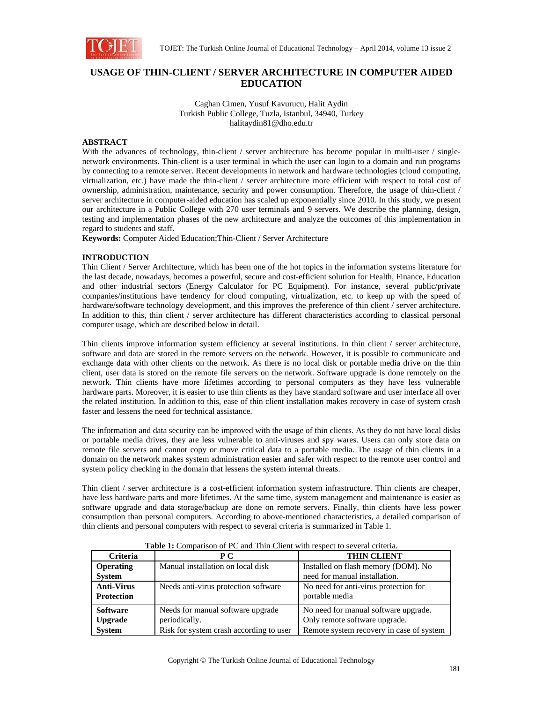

# **USAGE OF THIN-CLIENT / SERVER ARCHITECTURE IN COMPUTER AIDED EDUCATION**

Caghan Cimen, Yusuf Kavurucu, Halit Aydin Turkish Public College, Tuzla, Istanbul, 34940, Turkey halitaydin81@dho.edu.tr

## **ABSTRACT**

With the advances of technology, thin-client / server architecture has become popular in multi-user / singlenetwork environments. Thin-client is a user terminal in which the user can login to a domain and run programs by connecting to a remote server. Recent developments in network and hardware technologies (cloud computing, virtualization, etc.) have made the thin-client / server architecture more efficient with respect to total cost of ownership, administration, maintenance, security and power consumption. Therefore, the usage of thin-client / server architecture in computer-aided education has scaled up exponentially since 2010. In this study, we present our architecture in a Public College with 270 user terminals and 9 servers. We describe the planning, design, testing and implementation phases of the new architecture and analyze the outcomes of this implementation in regard to students and staff.

**Keywords:** Computer Aided Education;Thin-Client / Server Architecture

### **INTRODUCTION**

Thin Client / Server Architecture, which has been one of the hot topics in the information systems literature for the last decade, nowadays, becomes a powerful, secure and cost-efficient solution for Health, Finance, Education and other industrial sectors (Energy Calculator for PC Equipment). For instance, several public/private companies/institutions have tendency for cloud computing, virtualization, etc. to keep up with the speed of hardware/software technology development, and this improves the preference of thin client / server architecture. In addition to this, thin client / server architecture has different characteristics according to classical personal computer usage, which are described below in detail.

Thin clients improve information system efficiency at several institutions. In thin client / server architecture, software and data are stored in the remote servers on the network. However, it is possible to communicate and exchange data with other clients on the network. As there is no local disk or portable media drive on the thin client, user data is stored on the remote file servers on the network. Software upgrade is done remotely on the network. Thin clients have more lifetimes according to personal computers as they have less vulnerable hardware parts. Moreover, it is easier to use thin clients as they have standard software and user interface all over the related institution. In addition to this, ease of thin client installation makes recovery in case of system crash faster and lessens the need for technical assistance.

The information and data security can be improved with the usage of thin clients. As they do not have local disks or portable media drives, they are less vulnerable to anti-viruses and spy wares. Users can only store data on remote file servers and cannot copy or move critical data to a portable media. The usage of thin clients in a domain on the network makes system administration easier and safer with respect to the remote user control and system policy checking in the domain that lessens the system internal threats.

Thin client / server architecture is a cost-efficient information system infrastructure. Thin clients are cheaper, have less hardware parts and more lifetimes. At the same time, system management and maintenance is easier as software upgrade and data storage/backup are done on remote servers. Finally, thin clients have less power consumption than personal computers. According to above-mentioned characteristics, a detailed comparison of thin clients and personal computers with respect to several criteria is summarized in Table 1.

| <b>Criteria</b>                        | P C                                                | <b>THIN CLIENT</b>                                                    |
|----------------------------------------|----------------------------------------------------|-----------------------------------------------------------------------|
| <b>Operating</b><br><b>System</b>      | Manual installation on local disk                  | Installed on flash memory (DOM). No<br>need for manual installation.  |
| <b>Anti-Virus</b><br><b>Protection</b> | Needs anti-virus protection software               | No need for anti-virus protection for<br>portable media               |
| <b>Software</b><br><b>Upgrade</b>      | Needs for manual software upgrade<br>periodically. | No need for manual software upgrade.<br>Only remote software upgrade. |
| <b>System</b>                          | Risk for system crash according to user            | Remote system recovery in case of system                              |

**Table 1:** Comparison of PC and Thin Client with respect to several criteria.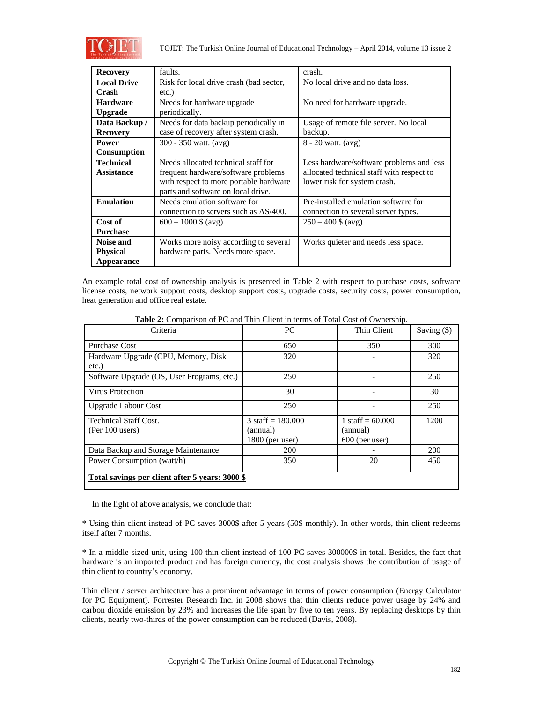

TOJET: The Turkish Online Journal of Educational Technology – April 2014, volume 13 issue 2

| <b>Recovery</b>    | faults.                                 | crash.                                    |  |
|--------------------|-----------------------------------------|-------------------------------------------|--|
| <b>Local Drive</b> | Risk for local drive crash (bad sector, | No local drive and no data loss.          |  |
| Crash              | etc.)                                   |                                           |  |
| <b>Hardware</b>    | Needs for hardware upgrade              | No need for hardware upgrade.             |  |
| <b>Upgrade</b>     | periodically.                           |                                           |  |
| Data Backup /      | Needs for data backup periodically in   | Usage of remote file server. No local     |  |
| <b>Recovery</b>    | case of recovery after system crash.    | backup.                                   |  |
| <b>Power</b>       | 300 - 350 watt. (avg)                   | $8 - 20$ watt. $(avg)$                    |  |
| <b>Consumption</b> |                                         |                                           |  |
| <b>Technical</b>   | Needs allocated technical staff for     | Less hardware/software problems and less  |  |
| <b>Assistance</b>  | frequent hardware/software problems     | allocated technical staff with respect to |  |
|                    | with respect to more portable hardware  | lower risk for system crash.              |  |
|                    | parts and software on local drive.      |                                           |  |
| <b>Emulation</b>   | Needs emulation software for            | Pre-installed emulation software for      |  |
|                    | connection to servers such as AS/400.   | connection to several server types.       |  |
| Cost of            | $600 - 1000$ \$ (avg)                   | $250 - 400$ \$ (avg)                      |  |
| <b>Purchase</b>    |                                         |                                           |  |
| <b>Noise and</b>   | Works more noisy according to several   | Works quieter and needs less space.       |  |
| <b>Physical</b>    | hardware parts. Needs more space.       |                                           |  |
| Appearance         |                                         |                                           |  |

An example total cost of ownership analysis is presented in Table 2 with respect to purchase costs, software license costs, network support costs, desktop support costs, upgrade costs, security costs, power consumption, heat generation and office real estate.

| Criteria                                                                      | PC.                                                          | Thin Client                                        | Saving $($ ) |
|-------------------------------------------------------------------------------|--------------------------------------------------------------|----------------------------------------------------|--------------|
| <b>Purchase Cost</b>                                                          | 650                                                          | 350                                                | 300          |
| Hardware Upgrade (CPU, Memory, Disk<br>$etc.$ )                               | 320                                                          |                                                    | 320          |
| Software Upgrade (OS, User Programs, etc.)                                    | 250                                                          |                                                    | 250          |
| Virus Protection                                                              | 30                                                           |                                                    | 30           |
| <b>Upgrade Labour Cost</b>                                                    | 250                                                          |                                                    | 250          |
| <b>Technical Staff Cost.</b><br>$(Per 100$ users)                             | $3 \text{ staff} = 180.000$<br>(annual)<br>$1800$ (per user) | 1 staff = $60.000$<br>(annual)<br>$600$ (per user) | 1200         |
| Data Backup and Storage Maintenance                                           | 200                                                          |                                                    | 200          |
| Power Consumption (watt/h)<br>Total savings per client after 5 years: 3000 \$ | 350                                                          | 20                                                 | 450          |

In the light of above analysis, we conclude that:

\* Using thin client instead of PC saves 3000\$ after 5 years (50\$ monthly). In other words, thin client redeems itself after 7 months.

\* In a middle-sized unit, using 100 thin client instead of 100 PC saves 300000\$ in total. Besides, the fact that hardware is an imported product and has foreign currency, the cost analysis shows the contribution of usage of thin client to country's economy.

Thin client / server architecture has a prominent advantage in terms of power consumption (Energy Calculator for PC Equipment). Forrester Research Inc. in 2008 shows that thin clients reduce power usage by 24% and carbon dioxide emission by 23% and increases the life span by five to ten years. By replacing desktops by thin clients, nearly two-thirds of the power consumption can be reduced (Davis, 2008).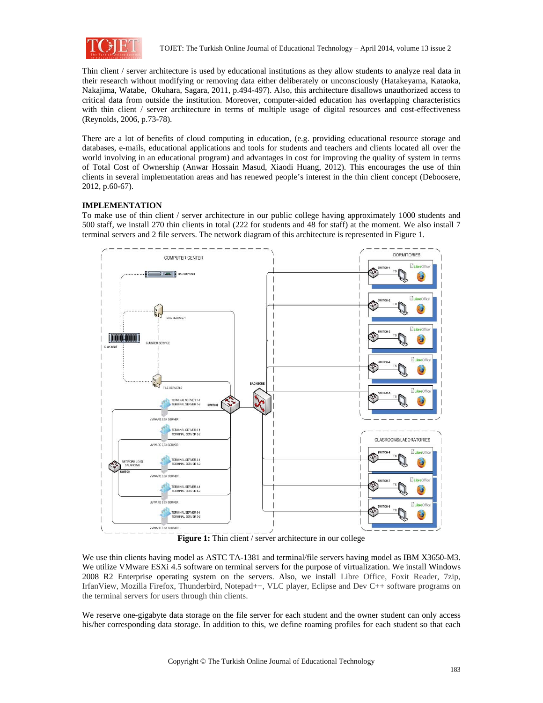

Thin client / server architecture is used by educational institutions as they allow students to analyze real data in their research without modifying or removing data either deliberately or unconsciously (Hatakeyama, Kataoka, Nakajima, Watabe, Okuhara, Sagara, 2011, p.494-497). Also, this architecture disallows unauthorized access to critical data from outside the institution. Moreover, computer-aided education has overlapping characteristics with thin client / server architecture in terms of multiple usage of digital resources and cost-effectiveness (Reynolds, 2006, p.73-78).

There are a lot of benefits of cloud computing in education, (e.g. providing educational resource storage and databases, e-mails, educational applications and tools for students and teachers and clients located all over the world involving in an educational program) and advantages in cost for improving the quality of system in terms of Total Cost of Ownership (Anwar Hossain Masud, Xiaodi Huang, 2012). This encourages the use of thin clients in several implementation areas and has renewed people's interest in the thin client concept (Deboosere, 2012, p.60-67).

## **IMPLEMENTATION**

To make use of thin client / server architecture in our public college having approximately 1000 students and 500 staff, we install 270 thin clients in total (222 for students and 48 for staff) at the moment. We also install 7 terminal servers and 2 file servers. The network diagram of this architecture is represented in Figure 1.



Figure 1: Thin client / server architecture in our college

We use thin clients having model as ASTC TA-1381 and terminal/file servers having model as IBM X3650-M3. We utilize VMware ESXi 4.5 software on terminal servers for the purpose of virtualization. We install Windows 2008 R2 Enterprise operating system on the servers. Also, we install Libre Office, Foxit Reader, 7zip, IrfanView, Mozilla Firefox, Thunderbird, Notepad++, VLC player, Eclipse and Dev C++ software programs on the terminal servers for users through thin clients.

We reserve one-gigabyte data storage on the file server for each student and the owner student can only access his/her corresponding data storage. In addition to this, we define roaming profiles for each student so that each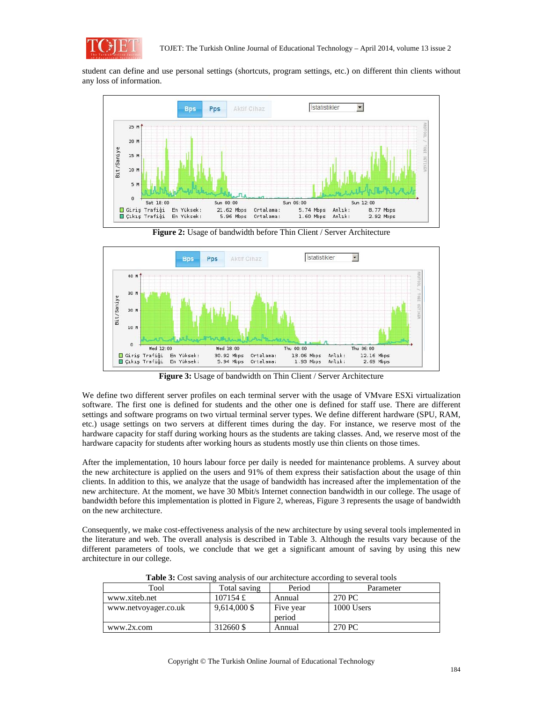

student can define and use personal settings (shortcuts, program settings, etc.) on different thin clients without any loss of information.



**Figure 2:** Usage of bandwidth before Thin Client / Server Architecture



**Figure 3:** Usage of bandwidth on Thin Client / Server Architecture

We define two different server profiles on each terminal server with the usage of VMvare ESXi virtualization software. The first one is defined for students and the other one is defined for staff use. There are different settings and software programs on two virtual terminal server types. We define different hardware (SPU, RAM, etc.) usage settings on two servers at different times during the day. For instance, we reserve most of the hardware capacity for staff during working hours as the students are taking classes. And, we reserve most of the hardware capacity for students after working hours as students mostly use thin clients on those times.

After the implementation, 10 hours labour force per daily is needed for maintenance problems. A survey about the new architecture is applied on the users and 91% of them express their satisfaction about the usage of thin clients. In addition to this, we analyze that the usage of bandwidth has increased after the implementation of the new architecture. At the moment, we have 30 Mbit/s Internet connection bandwidth in our college. The usage of bandwidth before this implementation is plotted in Figure 2, whereas, Figure 3 represents the usage of bandwidth on the new architecture.

Consequently, we make cost-effectiveness analysis of the new architecture by using several tools implemented in the literature and web. The overall analysis is described in Table 3. Although the results vary because of the different parameters of tools, we conclude that we get a significant amount of saving by using this new architecture in our college.

| Tool                 | Total saving | Period    | Parameter  |  |
|----------------------|--------------|-----------|------------|--|
| www.xiteb.net        | 107154 £     | Annual    | 270 PC     |  |
| www.netvoyager.co.uk | 9,614,000 \$ | Five year | 1000 Users |  |
|                      |              | period    |            |  |
| www.2x.com           | 312660 \$    | Annual    | 270 PC     |  |

**Table 3:** Cost saving analysis of our architecture according to several tools